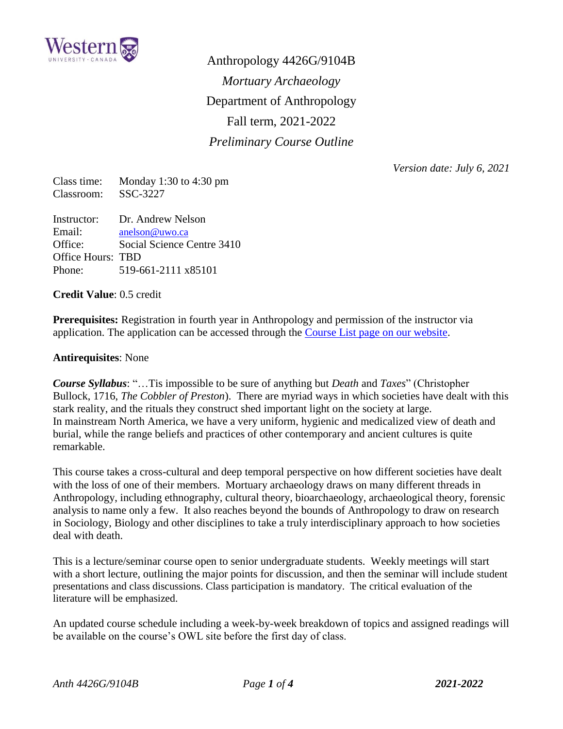

Anthropology 4426G/9104B *Mortuary Archaeology* Department of Anthropology Fall term, 2021-2022 *Preliminary Course Outline*

*Version date: July 6, 2021*

Class time: Monday 1:30 to 4:30 pm Classroom: SSC-3227

Instructor: Dr. Andrew Nelson Email: [anelson@uwo.ca](mailto:anelson@uwo.ca) Office: Social Science Centre 3410 Office Hours: TBD Phone: 519-661-2111 x85101

**Credit Value**: 0.5 credit

**Prerequisites:** Registration in fourth year in Anthropology and permission of the instructor via application. The application can be accessed through the [Course List page on our website.](https://anthropology.uwo.ca/undergraduate/application_courses.html)

#### **Antirequisites**: None

*Course Syllabus*: "…Tis impossible to be sure of anything but *Death* and *Taxes*" (Christopher Bullock, 1716, *The Cobbler of Preston*). There are myriad ways in which societies have dealt with this stark reality, and the rituals they construct shed important light on the society at large. In mainstream North America, we have a very uniform, hygienic and medicalized view of death and burial, while the range beliefs and practices of other contemporary and ancient cultures is quite remarkable.

This course takes a cross-cultural and deep temporal perspective on how different societies have dealt with the loss of one of their members. Mortuary archaeology draws on many different threads in Anthropology, including ethnography, cultural theory, bioarchaeology, archaeological theory, forensic analysis to name only a few. It also reaches beyond the bounds of Anthropology to draw on research in Sociology, Biology and other disciplines to take a truly interdisciplinary approach to how societies deal with death.

This is a lecture/seminar course open to senior undergraduate students. Weekly meetings will start with a short lecture, outlining the major points for discussion, and then the seminar will include student presentations and class discussions. Class participation is mandatory. The critical evaluation of the literature will be emphasized.

An updated course schedule including a week-by-week breakdown of topics and assigned readings will be available on the course's OWL site before the first day of class.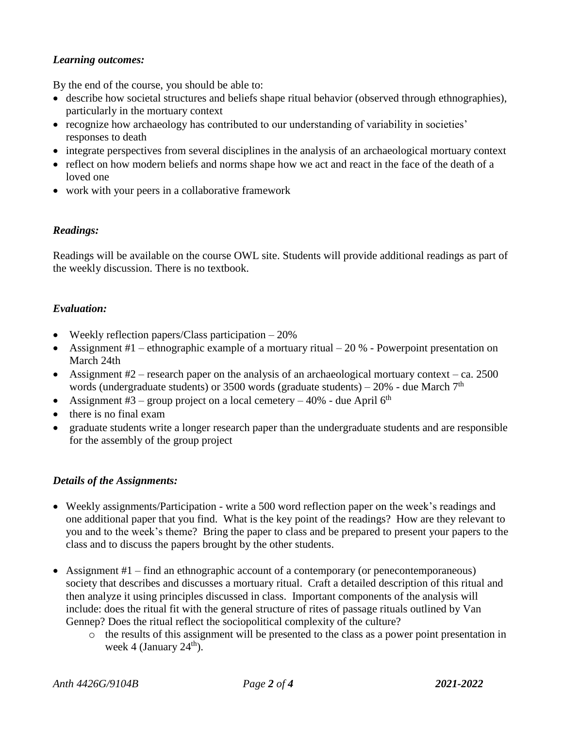## *Learning outcomes:*

By the end of the course, you should be able to:

- describe how societal structures and beliefs shape ritual behavior (observed through ethnographies), particularly in the mortuary context
- recognize how archaeology has contributed to our understanding of variability in societies' responses to death
- integrate perspectives from several disciplines in the analysis of an archaeological mortuary context
- reflect on how modern beliefs and norms shape how we act and react in the face of the death of a loved one
- work with your peers in a collaborative framework

# *Readings:*

Readings will be available on the course OWL site. Students will provide additional readings as part of the weekly discussion. There is no textbook.

## *Evaluation:*

- Weekly reflection papers/Class participation  $-20\%$
- Assignment  $#1$  ethnographic example of a mortuary ritual 20 % Powerpoint presentation on March 24th
- Assignment  $#2$  research paper on the analysis of an archaeological mortuary context ca. 2500 words (undergraduate students) or 3500 words (graduate students) – 20% - due March  $7<sup>th</sup>$
- Assignment #3 group project on a local cemetery 40% due April  $6<sup>th</sup>$
- there is no final exam
- graduate students write a longer research paper than the undergraduate students and are responsible for the assembly of the group project

#### *Details of the Assignments:*

- Weekly assignments/Participation write a 500 word reflection paper on the week's readings and one additional paper that you find. What is the key point of the readings? How are they relevant to you and to the week's theme? Bring the paper to class and be prepared to present your papers to the class and to discuss the papers brought by the other students.
- Assignment  $#1$  find an ethnographic account of a contemporary (or penecontemporaneous) society that describes and discusses a mortuary ritual. Craft a detailed description of this ritual and then analyze it using principles discussed in class. Important components of the analysis will include: does the ritual fit with the general structure of rites of passage rituals outlined by Van Gennep? Does the ritual reflect the sociopolitical complexity of the culture?
	- o the results of this assignment will be presented to the class as a power point presentation in week 4 (January  $24<sup>th</sup>$ ).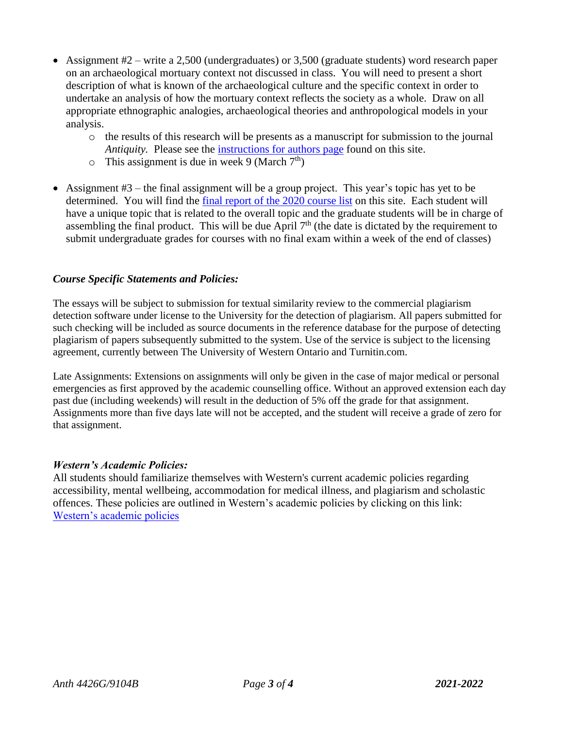- Assignment #2 write a 2,500 (undergraduates) or 3,500 (graduate students) word research paper on an archaeological mortuary context not discussed in class. You will need to present a short description of what is known of the archaeological culture and the specific context in order to undertake an analysis of how the mortuary context reflects the society as a whole. Draw on all appropriate ethnographic analogies, archaeological theories and anthropological models in your analysis.
	- o the results of this research will be presents as a manuscript for submission to the journal *Antiquity.* Please see the [instructions for authors page](http://journal.antiquity.ac.uk/submit-paper) found on this site.
	- $\circ$  This assignment is due in week 9 (March 7<sup>th</sup>)
- Assignment  $#3$  the final assignment will be a group project. This year's topic has yet to be determined. You will find the [final report of the 2020 course](https://ir.lib.uwo.ca/archaeology_ebooks/1/) list on this site. Each student will have a unique topic that is related to the overall topic and the graduate students will be in charge of assembling the final product. This will be due April  $7<sup>th</sup>$  (the date is dictated by the requirement to submit undergraduate grades for courses with no final exam within a week of the end of classes)

## *Course Specific Statements and Policies:*

The essays will be subject to submission for textual similarity review to the commercial plagiarism detection software under license to the University for the detection of plagiarism. All papers submitted for such checking will be included as source documents in the reference database for the purpose of detecting plagiarism of papers subsequently submitted to the system. Use of the service is subject to the licensing agreement, currently between The University of Western Ontario and Turnitin.com.

Late Assignments: Extensions on assignments will only be given in the case of major medical or personal emergencies as first approved by the academic counselling office. Without an approved extension each day past due (including weekends) will result in the deduction of 5% off the grade for that assignment. Assignments more than five days late will not be accepted, and the student will receive a grade of zero for that assignment.

#### *Western's Academic Policies:*

All students should familiarize themselves with Western's current academic policies regarding accessibility, mental wellbeing, accommodation for medical illness, and plagiarism and scholastic offences. These policies are outlined in Western's academic policies by clicking on this link: [Western's academic policies](https://westerncalendar.uwo.ca/academicPolicies.cfm?SelectedCalendar=Live&ArchiveID=)